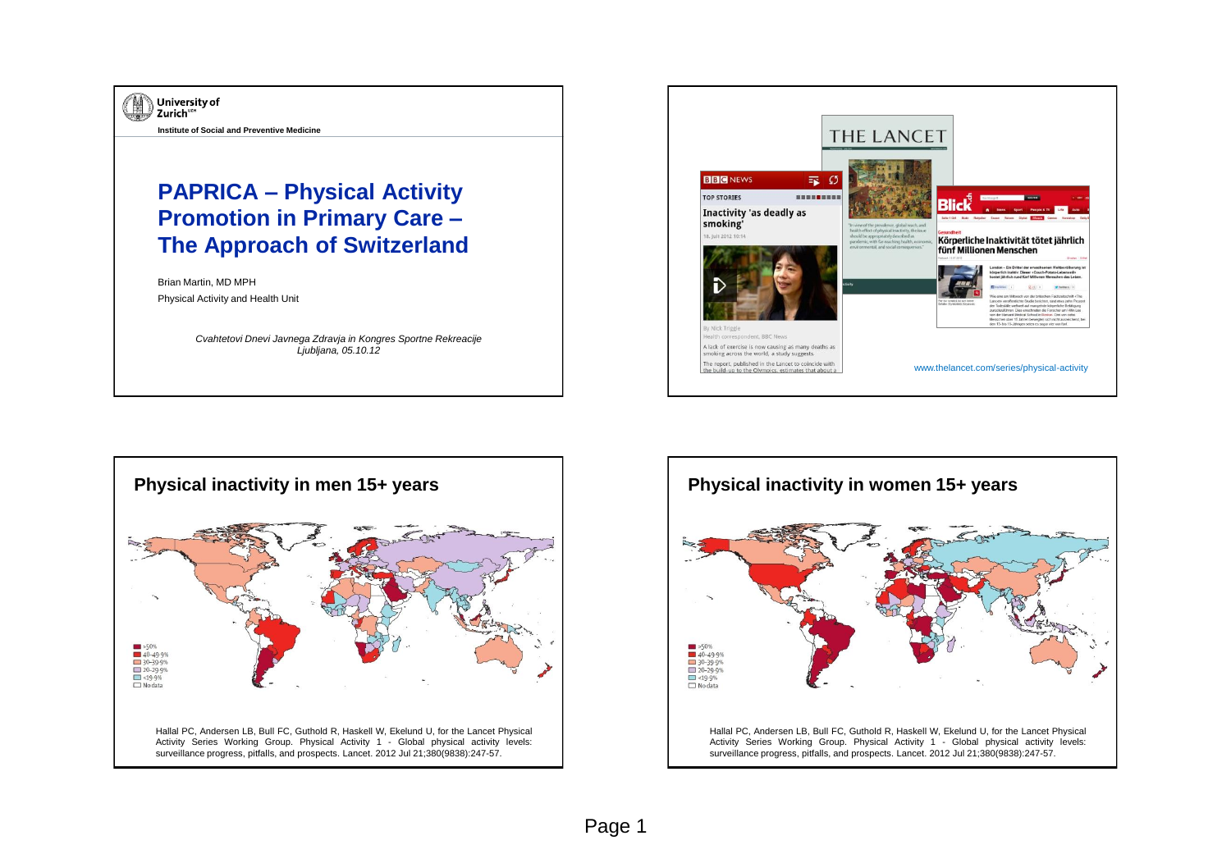





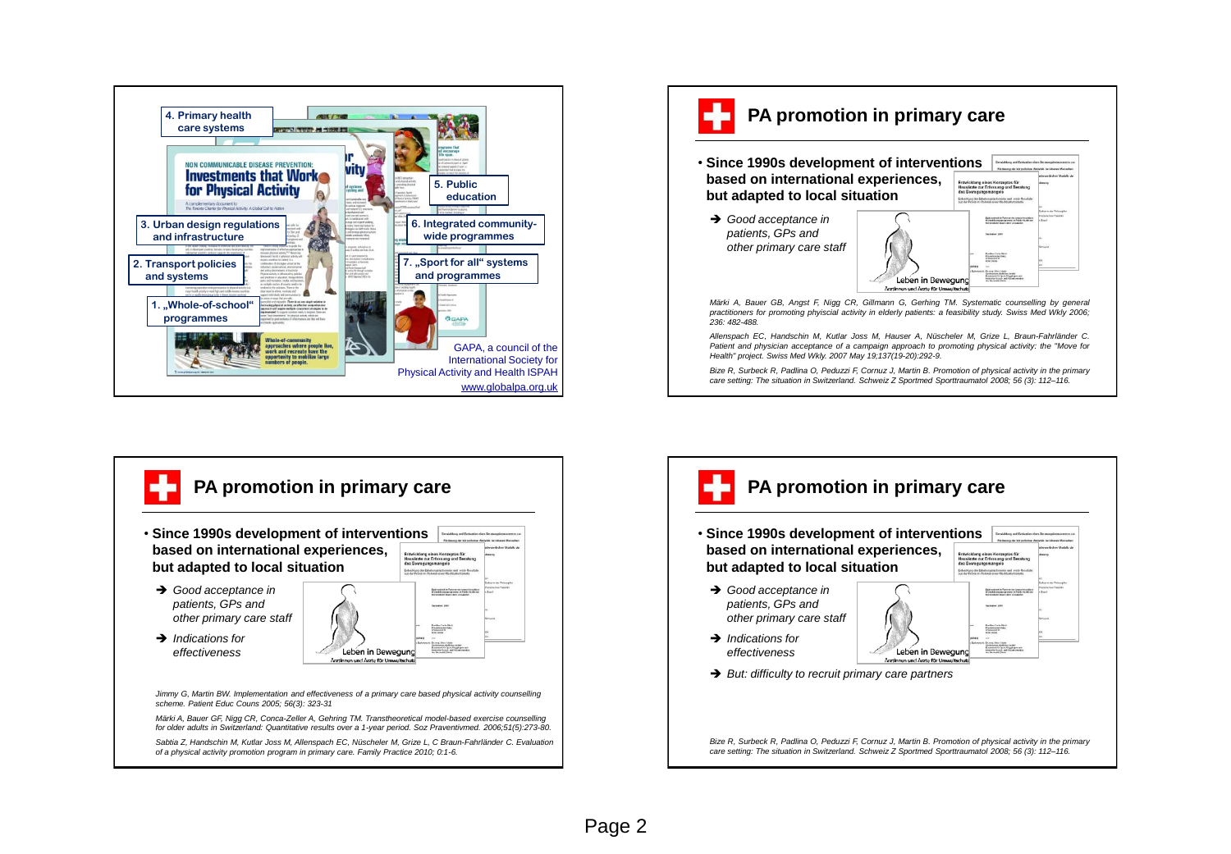





**PA promotion in primary care** • **Since 1990s development of interventions based on international experiences, but adapted to local situation**  *Good acceptance in patients, GPs and other primary care staff* Doctive Failed &<br>Francisco<br>Coddonn 19<br>Francisco **→** *Indications for* Leben in Bewegung *effectiveness* **→** *But: difficulty to recruit primary care partners* Bize R, Surbeck R, Padlina O, Peduzzi F, Cornuz J, Martin B. Promotion of physical activity in the primary *care setting: The situation in Switzerland. Schweiz Z Sportmed Sporttraumatol 2008; 56 (3): 112–116.*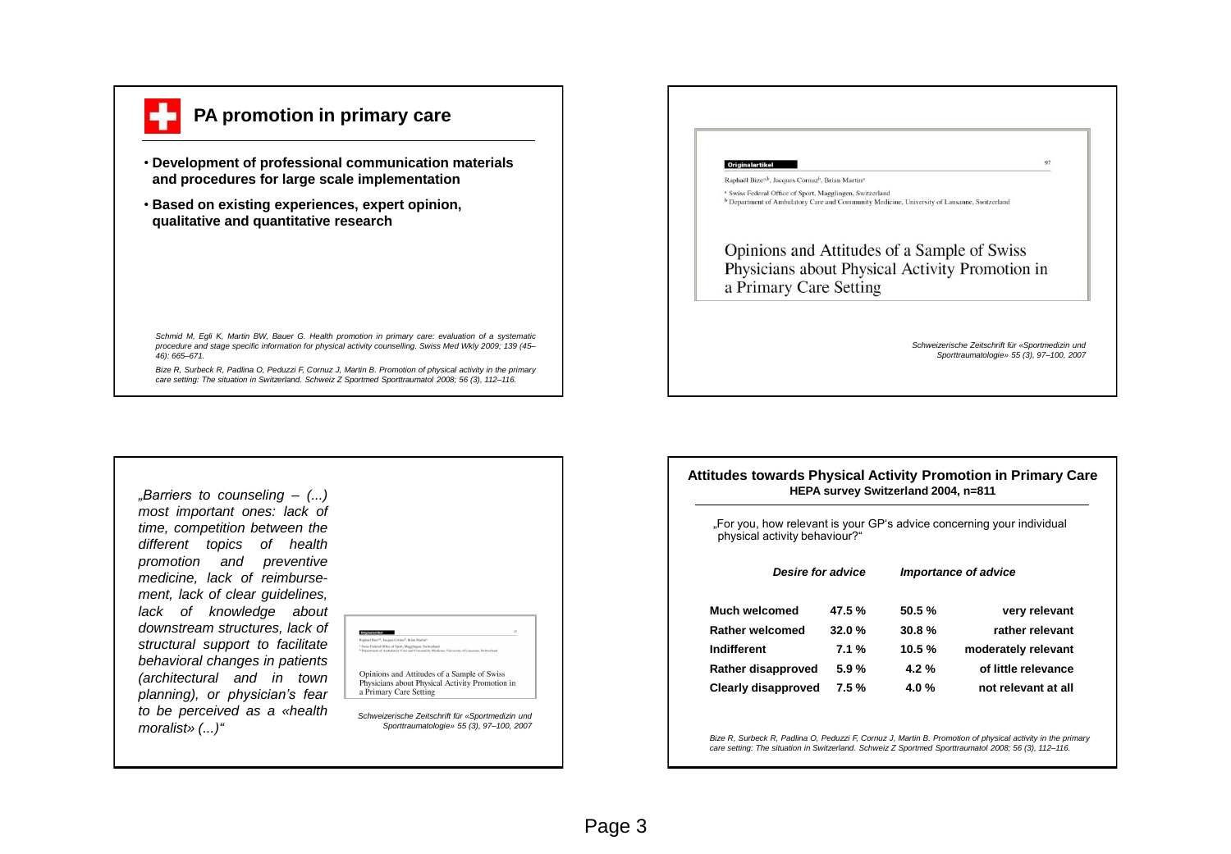

## **PA promotion in primary care**

- **Development of professional communication materials and procedures for large scale implementation**
- **Based on existing experiences, expert opinion, qualitative and quantitative research**

*Schmid M, Egli K, Martin BW, Bauer G. Health promotion in primary care: evaluation of a systematic procedure and stage specific information for physical activity counselling. Swiss Med Wkly 2009; 139 (45– 46): 665–671.*

Bize R. Surbeck R. Padlina O. Peduzzi F. Cornuz J. Martin B. Promotion of physical activity in the primary *care setting: The situation in Switzerland. Schweiz Z Sportmed Sporttraumatol 2008; 56 (3), 112–116.*



*"Barriers to counseling – (...) most important ones: lack of time, competition between the different topics of health promotion and preventive medicine, lack of reimbursement, lack of clear guidelines, lack of knowledge about downstream structures, lack of structural support to facilitate behavioral changes in patients (architectural and in town planning), or physician's fear to be perceived as a «health moralist» (...)"*



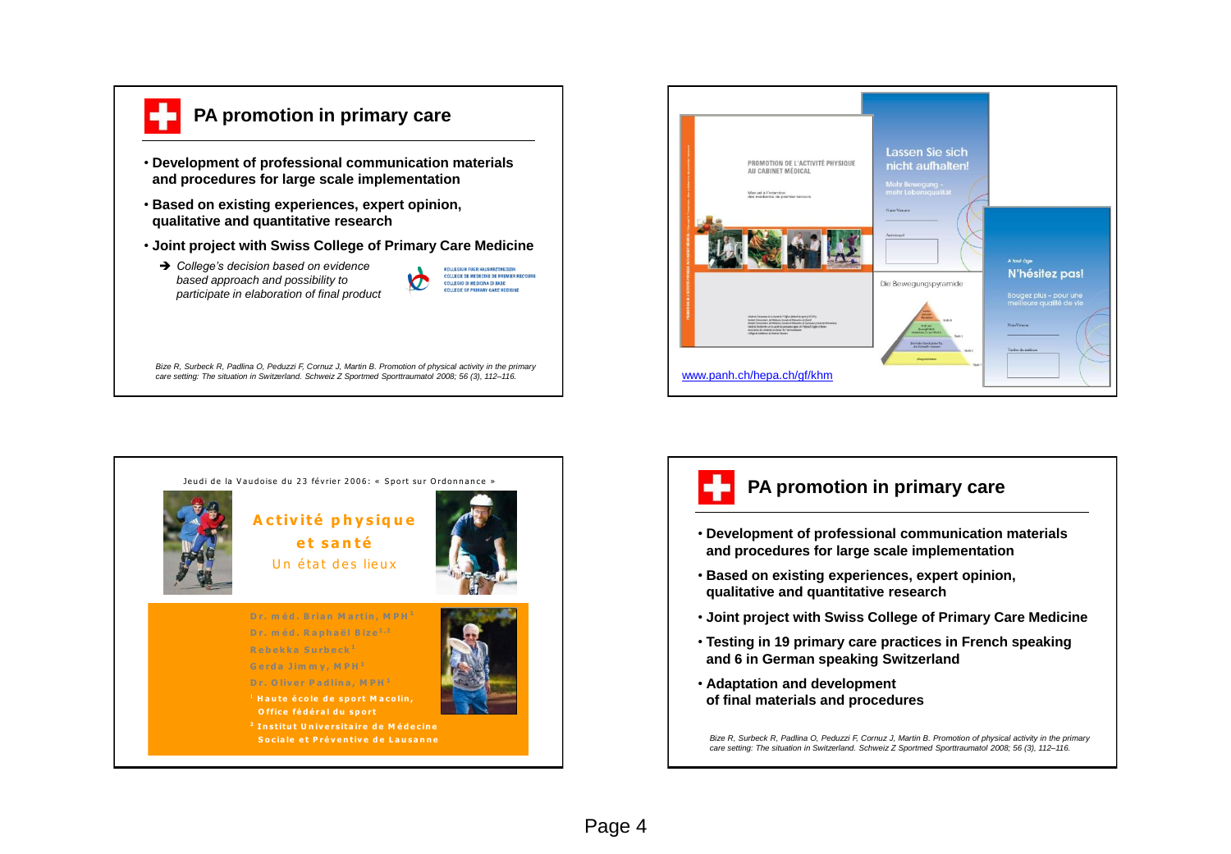

## **PA promotion in primary care**

- **Development of professional communication materials and procedures for large scale implementation**
- **Based on existing experiences, expert opinion, qualitative and quantitative research**
- **Joint project with Swiss College of Primary Care Medicine**
- *College's decision based on evidence based approach and possibility to participate in elaboration of final product*



Bize R, Surbeck R, Padlina O, Peduzzi F, Cornuz J, Martin B. Promotion of physical activity in the primary *care setting: The situation in Switzerland. Schweiz Z Sportmed Sporttraumatol 2008; 56 (3), 112–116.*







- **Development of professional communication materials and procedures for large scale implementation**
- **Based on existing experiences, expert opinion, qualitative and quantitative research**
- **Joint project with Swiss College of Primary Care Medicine**
- **Testing in 19 primary care practices in French speaking and 6 in German speaking Switzerland**
- **Adaptation and development of final materials and procedures**

Bize R, Surbeck R, Padlina O, Peduzzi F, Cornuz J, Martin B. Promotion of physical activity in the primary *care setting: The situation in Switzerland. Schweiz Z Sportmed Sporttraumatol 2008; 56 (3), 112–116.*